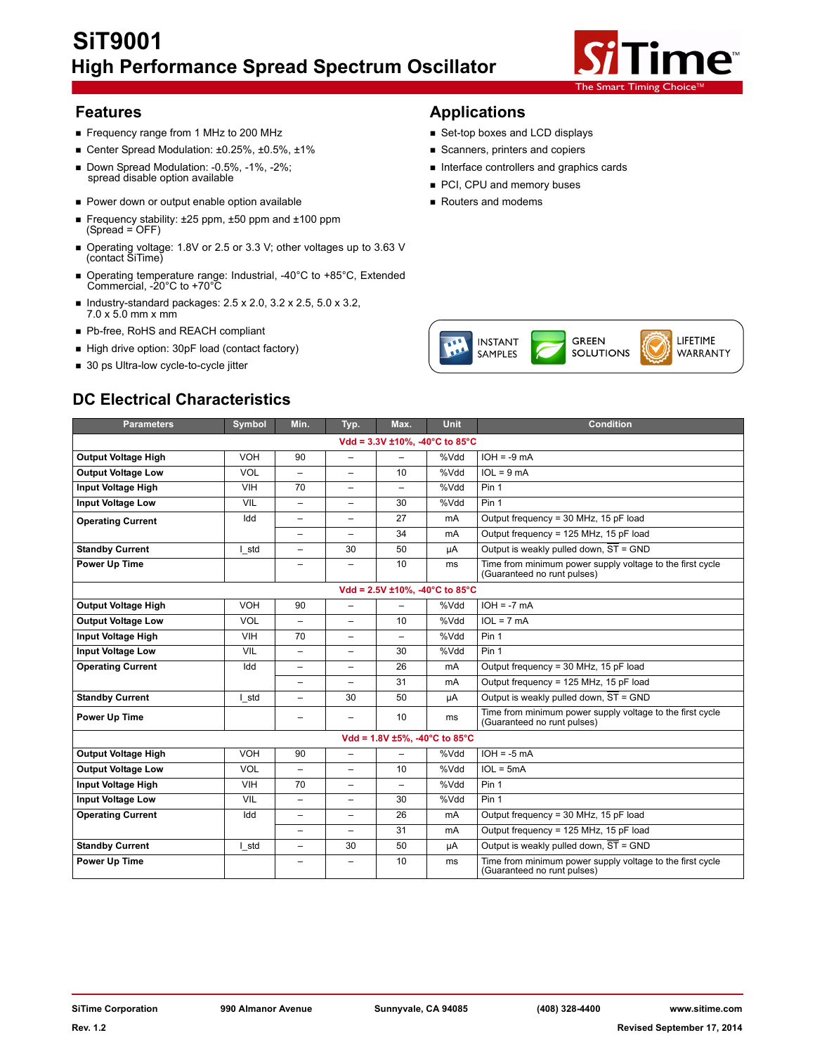# **SiT9001 High Performance Spread Spectrum Oscillator**



- Frequency range from 1 MHz to 200 MHz Set-top boxes and LCD displays
- Center Spread Modulation: ±0.25%, ±0.5%, ±1% 
Scanners, printers and copiers
- Down Spread Modulation: -0.5%, -1%, -2%;<br>spread disable option available **Interface controllers** and graphics cards
- Power down or output enable option available **Routers and modems**
- Frequency stability: ±25 ppm, ±50 ppm and ±100 ppm (Spread = OFF)
- Operating voltage: 1.8V or 2.5 or 3.3 V; other voltages up to 3.63 V (contact SiTime)
- Operating temperature range: Industrial, -40°C to +85°C, Extended Commercial, -20°C to +70°C
- Industry-standard packages:  $2.5 \times 2.0$ ,  $3.2 \times 2.5$ ,  $5.0 \times 3.2$ , 7.0 x 5.0 mm x mm
- Pb-free, RoHS and REACH compliant
- High drive option: 30pF load (contact factory)
- 30 ps Ultra-low cycle-to-cycle jitter

## **Features Applications**

- 
- 
- 
- PCI, CPU and memory buses
- 



| <b>Parameters</b>          | Symbol     | Min.                     | Typ.                     | Max.                     | <b>Unit</b>                           | <b>Condition</b>                                                                         |
|----------------------------|------------|--------------------------|--------------------------|--------------------------|---------------------------------------|------------------------------------------------------------------------------------------|
|                            |            |                          |                          |                          | Vdd = $3.3V \pm 10\%$ , -40°C to 85°C |                                                                                          |
| <b>Output Voltage High</b> | VOH        | 90                       | $\overline{\phantom{0}}$ |                          | %Vdd                                  | $IOH = -9 mA$                                                                            |
| <b>Output Voltage Low</b>  | <b>VOL</b> | $\overline{\phantom{0}}$ | -                        | 10                       | %Vdd                                  | $IOL = 9 mA$                                                                             |
| Input Voltage High         | <b>VIH</b> | 70                       | -                        | $\overline{\phantom{0}}$ | %Vdd                                  | Pin 1                                                                                    |
| <b>Input Voltage Low</b>   | <b>VIL</b> | $\overline{\phantom{m}}$ | $\overline{\phantom{0}}$ | 30                       | %Vdd                                  | Pin 1                                                                                    |
| <b>Operating Current</b>   | Idd        | $\overline{\phantom{m}}$ | -                        | 27                       | mA                                    | Output frequency = 30 MHz, 15 pF load                                                    |
|                            |            | $\qquad \qquad -$        | $\overline{\phantom{0}}$ | 34                       | mA                                    | Output frequency = 125 MHz, 15 pF load                                                   |
| <b>Standby Current</b>     | I std      | $\overline{\phantom{m}}$ | 30                       | 50                       | μA                                    | Output is weakly pulled down, ST = GND                                                   |
| Power Up Time              |            | $\overline{\phantom{m}}$ | -                        | 10                       | ms                                    | Time from minimum power supply voltage to the first cycle<br>(Guaranteed no runt pulses) |
|                            |            |                          |                          |                          | Vdd = $2.5V \pm 10\%$ , -40°C to 85°C |                                                                                          |
| <b>Output Voltage High</b> | VOH        | 90                       | $\overline{\phantom{0}}$ |                          | %Vdd                                  | $IOH = -7 mA$                                                                            |
| <b>Output Voltage Low</b>  | <b>VOL</b> | $\overline{\phantom{0}}$ | $\overline{\phantom{0}}$ | 10                       | %Vdd                                  | $IOL = 7 mA$                                                                             |
| Input Voltage High         | VIH        | 70                       | -                        | $\overline{\phantom{0}}$ | %Vdd                                  | Pin 1                                                                                    |
| <b>Input Voltage Low</b>   | <b>VIL</b> | $\overline{\phantom{m}}$ | $\overline{\phantom{0}}$ | 30                       | %Vdd                                  | Pin 1                                                                                    |
| <b>Operating Current</b>   | Idd        | $\overline{\phantom{0}}$ | -                        | 26                       | mA                                    | Output frequency = 30 MHz, 15 pF load                                                    |
|                            |            | $\overline{\phantom{m}}$ | $\overline{\phantom{0}}$ | 31                       | mA                                    | Output frequency = 125 MHz, 15 pF load                                                   |
| <b>Standby Current</b>     | I std      | $\overline{\phantom{m}}$ | 30                       | 50                       | μA                                    | Output is weakly pulled down, $\overline{ST}$ = GND                                      |
| <b>Power Up Time</b>       |            |                          |                          | 10                       | ms                                    | Time from minimum power supply voltage to the first cycle<br>(Guaranteed no runt pulses) |
|                            |            |                          |                          |                          | Vdd = $1.8V \pm 5\%$ , -40°C to 85°C  |                                                                                          |
| <b>Output Voltage High</b> | VOH        | 90                       | $\overline{\phantom{0}}$ |                          | %Vdd                                  | $IOH = -5 mA$                                                                            |
| <b>Output Voltage Low</b>  | <b>VOL</b> | $\overline{\phantom{0}}$ | $\overline{\phantom{0}}$ | 10                       | %Vdd                                  | $IOL = 5mA$                                                                              |
| Input Voltage High         | VIH        | 70                       | $\overline{\phantom{0}}$ | $\overline{\phantom{0}}$ | %Vdd                                  | Pin 1                                                                                    |
| <b>Input Voltage Low</b>   | <b>VIL</b> | $\overline{\phantom{m}}$ | $\overline{\phantom{0}}$ | 30                       | %Vdd                                  | Pin 1                                                                                    |
| <b>Operating Current</b>   | Idd        | $\overline{\phantom{0}}$ | -                        | 26                       | mA                                    | Output frequency = 30 MHz, 15 pF load                                                    |
|                            |            | $\overline{\phantom{0}}$ | $\overline{\phantom{0}}$ | 31                       | mA                                    | Output frequency = 125 MHz, 15 pF load                                                   |
| <b>Standby Current</b>     | I std      | $\overline{\phantom{0}}$ | 30                       | 50                       | μA                                    | Output is weakly pulled down, $\overline{ST}$ = GND                                      |
| <b>Power Up Time</b>       |            | -                        | -                        | 10                       | ms                                    | Time from minimum power supply voltage to the first cycle<br>(Guaranteed no runt pulses) |

## **DC Electrical Characteristics**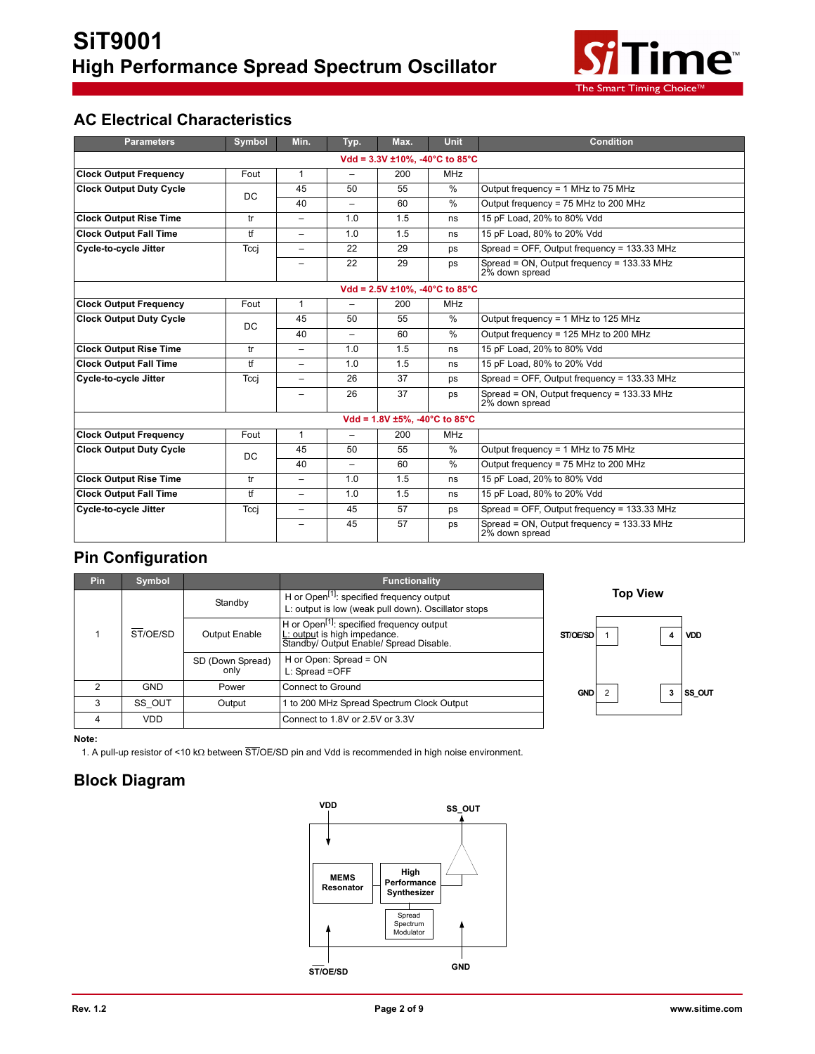

## **AC Electrical Characteristics**

| <b>Parameters</b>              | Symbol    | Min.                     | Typ.                     | Max.                                  | <b>Unit</b>   | <b>Condition</b>                                             |
|--------------------------------|-----------|--------------------------|--------------------------|---------------------------------------|---------------|--------------------------------------------------------------|
|                                |           |                          |                          | Vdd = 3.3V ±10%, -40°C to 85°C        |               |                                                              |
| <b>Clock Output Frequency</b>  | Fout      | $\mathbf{1}$             | -                        | 200                                   | <b>MHz</b>    |                                                              |
| <b>Clock Output Duty Cycle</b> | DC        | 45                       | 50                       | 55                                    | %             | Output frequency = 1 MHz to 75 MHz                           |
|                                |           | 40                       | $\overline{\phantom{0}}$ | 60                                    | %             | Output frequency = 75 MHz to 200 MHz                         |
| <b>Clock Output Rise Time</b>  | tr        | $\overline{\phantom{0}}$ | 1.0                      | 1.5                                   | ns            | 15 pF Load, 20% to 80% Vdd                                   |
| <b>Clock Output Fall Time</b>  | tf        | $\overline{\phantom{0}}$ | 1.0                      | 1.5                                   | ns            | 15 pF Load, 80% to 20% Vdd                                   |
| <b>Cycle-to-cycle Jitter</b>   | Tcci      | $\overline{\phantom{0}}$ | 22                       | 29                                    | ps            | Spread = OFF, Output frequency = 133.33 MHz                  |
|                                |           | $\overline{\phantom{0}}$ | 22                       | 29                                    | ps            | Spread = ON, Output frequency = 133.33 MHz<br>2% down spread |
|                                |           |                          |                          | Vdd = $2.5V \pm 10\%$ , -40°C to 85°C |               |                                                              |
| <b>Clock Output Frequency</b>  | Fout      | $\mathbf{1}$             | $\overline{\phantom{0}}$ | 200                                   | <b>MHz</b>    |                                                              |
| <b>Clock Output Duty Cycle</b> | <b>DC</b> | 45                       | 50                       | 55                                    | $\frac{0}{0}$ | Output frequency = 1 MHz to 125 MHz                          |
|                                |           | 40                       | $\overline{\phantom{0}}$ | 60                                    | $\frac{0}{0}$ | Output frequency = 125 MHz to 200 MHz                        |
| <b>Clock Output Rise Time</b>  | tr        | $\qquad \qquad -$        | 1.0                      | 1.5                                   | ns            | 15 pF Load, 20% to 80% Vdd                                   |
| <b>Clock Output Fall Time</b>  | tf        | $\overline{\phantom{0}}$ | 1.0                      | 1.5                                   | ns            | 15 pF Load, 80% to 20% Vdd                                   |
| <b>Cycle-to-cycle Jitter</b>   | Tcci      | $\overline{\phantom{0}}$ | 26                       | 37                                    | ps            | Spread = OFF, Output frequency = 133.33 MHz                  |
|                                |           |                          | 26                       | 37                                    | ps            | Spread = ON, Output frequency = 133.33 MHz<br>2% down spread |
|                                |           |                          |                          | Vdd = $1.8V \pm 5\%$ , -40°C to 85°C  |               |                                                              |
| <b>Clock Output Frequency</b>  | Fout      | $\mathbf{1}$             | $\overline{\phantom{0}}$ | 200                                   | <b>MHz</b>    |                                                              |
| <b>Clock Output Duty Cycle</b> | DC        | 45                       | 50                       | 55                                    | %             | Output frequency = 1 MHz to 75 MHz                           |
|                                |           | 40                       | $\overline{\phantom{0}}$ | 60                                    | %             | Output frequency = 75 MHz to 200 MHz                         |
| <b>Clock Output Rise Time</b>  | tr        | $\overline{\phantom{0}}$ | 1.0                      | 1.5                                   | ns            | 15 pF Load, 20% to 80% Vdd                                   |
| <b>Clock Output Fall Time</b>  | tf        | $\overline{\phantom{0}}$ | 1.0                      | 1.5                                   | ns            | 15 pF Load, 80% to 20% Vdd                                   |
| <b>Cycle-to-cycle Jitter</b>   | Tccj      | $\overline{\phantom{0}}$ | 45                       | 57                                    | ps            | Spread = OFF, Output frequency = 133.33 MHz                  |
|                                |           | $\overline{\phantom{0}}$ | 45                       | 57                                    | ps            | Spread = ON, Output frequency = 133.33 MHz<br>2% down spread |

## **Pin Configuration**

| <b>Pin</b>    | Symbol     |                          | <b>Functionality</b>                                                                                                             |                        |
|---------------|------------|--------------------------|----------------------------------------------------------------------------------------------------------------------------------|------------------------|
|               |            | Standby                  | H or Open <sup>[1]</sup> : specified frequency output<br>L: output is low (weak pull down). Oscillator stops                     | <b>Top View</b>        |
|               | ST/OE/SD   | <b>Output Enable</b>     | H or Open <sup>[1]</sup> : specified frequency output<br>L: output is high impedance.<br>Standby/ Output Enable/ Spread Disable. | ST/OE/SD<br><b>VDD</b> |
|               |            | SD (Down Spread)<br>only | H or Open: Spread = ON<br>L: Spread = OFF                                                                                        |                        |
| $\mathcal{P}$ | <b>GND</b> | Power                    | Connect to Ground                                                                                                                | <b>GND</b><br>SS OUT   |
| 3             | SS OUT     | Output                   | 1 to 200 MHz Spread Spectrum Clock Output                                                                                        |                        |
|               | VDD        |                          | Connect to 1.8V or 2.5V or 3.3V                                                                                                  |                        |

**Note:** 

1. A pull-up resistor of <10 k $\Omega$  between  $\overline{\text{ST}/\text{OE}}/\text{SD}$  pin and Vdd is recommended in high noise environment.

## **Block Diagram**

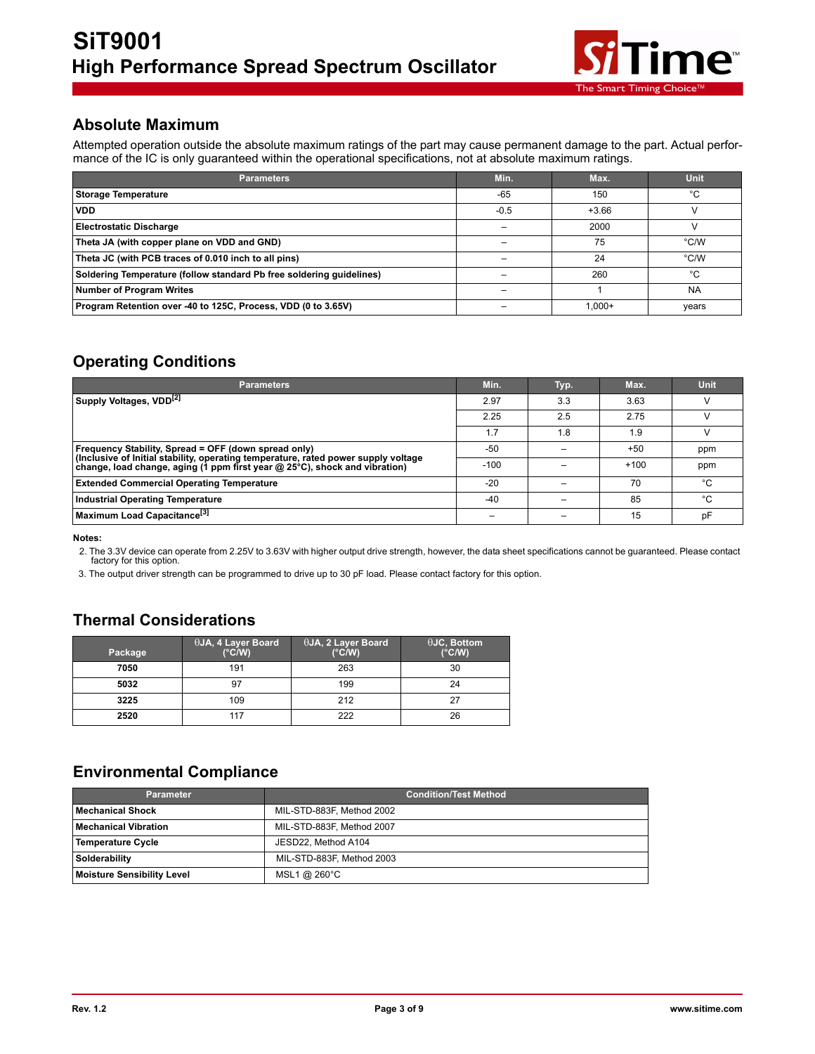

## **Absolute Maximum**

Attempted operation outside the absolute maximum ratings of the part may cause permanent damage to the part. Actual performance of the IC is only guaranteed within the operational specifications, not at absolute maximum ratings.

| <b>Parameters</b>                                                    | Min.   | Max.      | <b>Unit</b> |
|----------------------------------------------------------------------|--------|-----------|-------------|
| <b>Storage Temperature</b>                                           | $-65$  | 150       | °C          |
| <b>VDD</b>                                                           | $-0.5$ | $+3.66$   |             |
| <b>Electrostatic Discharge</b>                                       |        | 2000      |             |
| Theta JA (with copper plane on VDD and GND)                          |        | 75        | °C/W        |
| Theta JC (with PCB traces of 0.010 inch to all pins)                 |        | 24        | °C/W        |
| Soldering Temperature (follow standard Pb free soldering guidelines) |        | 260       | °C          |
| Number of Program Writes                                             |        |           | <b>NA</b>   |
| Program Retention over -40 to 125C, Process, VDD (0 to 3.65V)        |        | $1.000 +$ | years       |

## **Operating Conditions**

| <b>Parameters</b>                                                                                                                          | Min.   | Typ. | Max.   | <b>Unit</b> |
|--------------------------------------------------------------------------------------------------------------------------------------------|--------|------|--------|-------------|
| Supply Voltages, VDD <sup>[2]</sup>                                                                                                        | 2.97   | 3.3  | 3.63   |             |
|                                                                                                                                            | 2.25   | 2.5  | 2.75   |             |
|                                                                                                                                            | 1.7    | 1.8  | 1.9    |             |
| Frequency Stability, Spread = OFF (down spread only)<br>(Inclusive of Initial stability, operating temperature, rated power supply voltage | $-50$  |      | $+50$  | ppm         |
| change, load change, aging (1 ppm first year @ 25°C), shock and vibration)                                                                 | $-100$ |      | $+100$ | ppm         |
| <b>Extended Commercial Operating Temperature</b>                                                                                           | $-20$  |      | 70     | °C.         |
| <b>Industrial Operating Temperature</b>                                                                                                    | -40    |      | 85     | °C          |
| Maximum Load Capacitance <sup>[3]</sup>                                                                                                    |        |      | 15     | pF          |

**Notes:** 

2. The 3.3V device can operate from 2.25V to 3.63V with higher output drive strength, however, the data sheet specifications cannot be guaranteed. Please contact factory for this option.

3. The output driver strength can be programmed to drive up to 30 pF load. Please contact factory for this option.

## **Thermal Considerations**

| Package | <sup>1</sup> θJA, 4 Layer Board<br>$(^{\circ}C/W)$ | $\theta$ JA, 2 Layer Board<br>$(^{\circ}C/W)$ | $\theta$ JC, Bottom<br>$(^{\circ}C/W)$ |
|---------|----------------------------------------------------|-----------------------------------------------|----------------------------------------|
| 7050    | 191                                                | 263                                           | 30                                     |
| 5032    | 97                                                 | 199                                           | 24                                     |
| 3225    | 109                                                | 212                                           |                                        |
| 2520    | 117                                                | 222                                           | 26                                     |

## **Environmental Compliance**

| <b>Parameter</b>                  | <b>Condition/Test Method</b> |
|-----------------------------------|------------------------------|
| <b>Mechanical Shock</b>           | MIL-STD-883F, Method 2002    |
| <b>Mechanical Vibration</b>       | MIL-STD-883F, Method 2007    |
| Temperature Cycle                 | JESD22, Method A104          |
| Solderability                     | MIL-STD-883F, Method 2003    |
| <b>Moisture Sensibility Level</b> | MSL1 @ 260°C                 |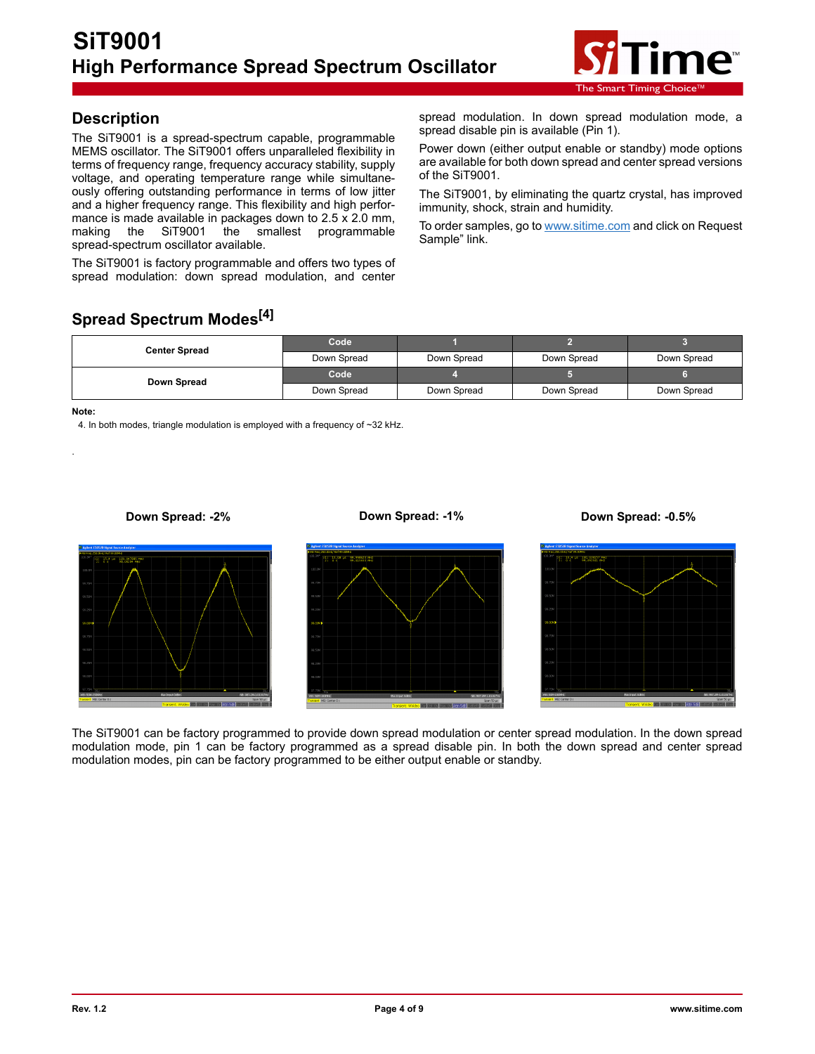

## **Description**

The SiT9001 is a spread-spectrum capable, programmable MEMS oscillator. The SiT9001 offers unparalleled flexibility in terms of frequency range, frequency accuracy stability, supply voltage, and operating temperature range while simultaneously offering outstanding performance in terms of low jitter and a higher frequency range. This flexibility and high performance is made available in packages down to 2.5 x 2.0 mm, making the SiT9001 the smallest programmable spread-spectrum oscillator available.

The SiT9001 is factory programmable and offers two types of spread modulation: down spread modulation, and center

spread modulation. In down spread modulation mode, a spread disable pin is available (Pin 1).

Power down (either output enable or standby) mode options are available for both down spread and center spread versions of the SiT9001.

The SiT9001, by eliminating the quartz crystal, has improved immunity, shock, strain and humidity.

To order samples, go to [www.sitime.com](http://www.sitime.com) and click on Request Sample" link.

## **Spread Spectrum Modes[4]**

| <b>Center Spread</b> | Code        |             |             |             |
|----------------------|-------------|-------------|-------------|-------------|
|                      | Down Spread | Down Spread | Down Spread | Down Spread |
| Down Spread          | Code        |             |             |             |
|                      | Down Spread | Down Spread | Down Spread | Down Spread |

**Note:** 

.

4. In both modes, triangle modulation is employed with a frequency of ~32 kHz.





The SiT9001 can be factory programmed to provide down spread modulation or center spread modulation. In the down spread modulation mode, pin 1 can be factory programmed as a spread disable pin. In both the down spread and center spread modulation modes, pin can be factory programmed to be either output enable or standby.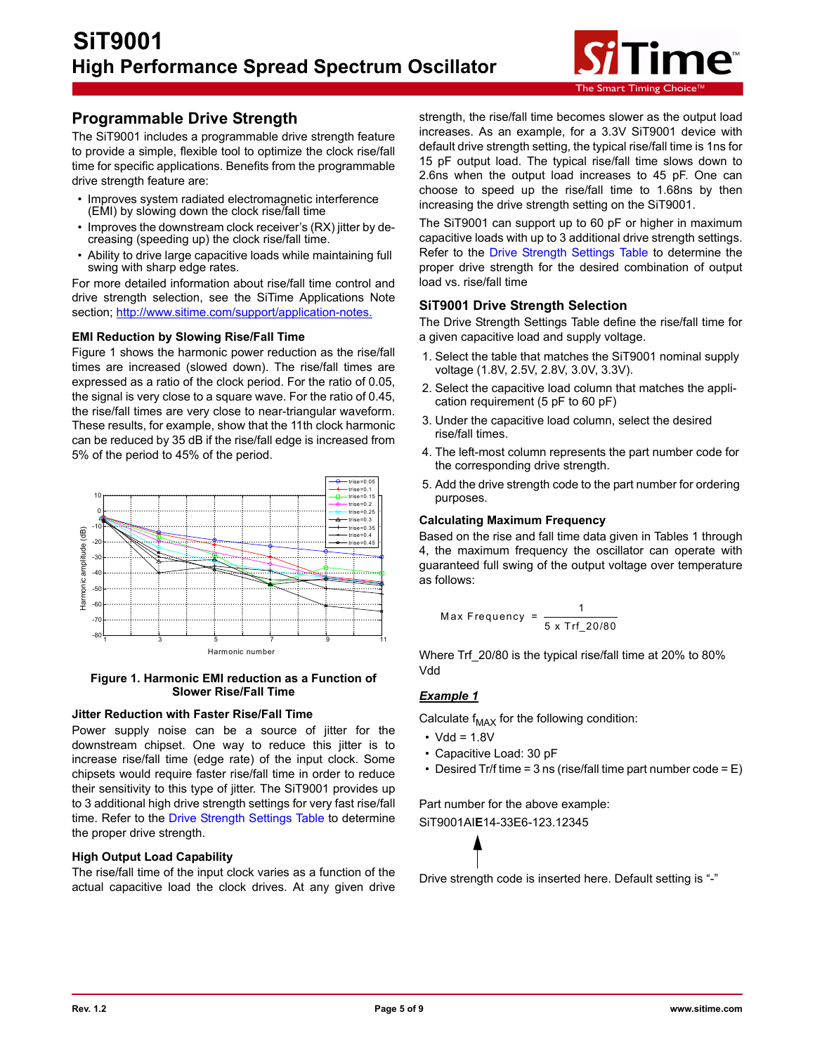

## **Programmable Drive Strength**

The SiT9001 includes a programmable drive strength feature to provide a simple, flexible tool to optimize the clock rise/fall time for specific applications. Benefits from the programmable drive strength feature are:

- Improves system radiated electromagnetic interference (EMI) by slowing down the clock rise/fall time
- Improves the downstream clock receiver's (RX) jitter by decreasing (speeding up) the clock rise/fall time.
- Ability to drive large capacitive loads while maintaining full swing with sharp edge rates.

For more detailed information about rise/fall time control and drive strength selection, see the SiTime Applications Note section; http://www.sitime.com/support/application-notes.

#### **EMI Reduction by Slowing Rise/Fall Time**

Figure 1 shows the harmonic power reduction as the rise/fall times are increased (slowed down). The rise/fall times are expressed as a ratio of the clock period. For the ratio of 0.05, the signal is very close to a square wave. For the ratio of 0.45, the rise/fall times are very close to near-triangular waveform. These results, for example, show that the 11th clock harmonic can be reduced by 35 dB if the rise/fall edge is increased from 5% of the period to 45% of the period.



**Figure 1. Harmonic EMI reduction as a Function of Slower Rise/Fall Time**

#### **Jitter Reduction with Faster Rise/Fall Time**

Power supply noise can be a source of jitter for the downstream chipset. One way to reduce this jitter is to increase rise/fall time (edge rate) of the input clock. Some chipsets would require faster rise/fall time in order to reduce their sensitivity to this type of jitter. The SiT9001 provides up to 3 additional high drive strength settings for very fast rise/fall time. Refer to the [Drive Strength Settings Table](#page-5-0) to determine the proper drive strength.

### **High Output Load Capability**

The rise/fall time of the input clock varies as a function of the actual capacitive load the clock drives. At any given drive

strength, the rise/fall time becomes slower as the output load increases. As an example, for a 3.3V SiT9001 device with default drive strength setting, the typical rise/fall time is 1ns for 15 pF output load. The typical rise/fall time slows down to 2.6ns when the output load increases to 45 pF. One can choose to speed up the rise/fall time to 1.68ns by then increasing the drive strength setting on the SiT9001.

The SiT9001 can support up to 60 pF or higher in maximum capacitive loads with up to 3 additional drive strength settings. Refer to the [Drive Strength Settings Table t](#page-5-0)o determine the proper drive strength for the desired combination of output load vs. rise/fall time

### **SiT9001 Drive Strength Selection**

The Drive Strength Settings Table define the rise/fall time for a given capacitive load and supply voltage.

- 1. Select the table that matches the SiT9001 nominal supply voltage (1.8V, 2.5V, 2.8V, 3.0V, 3.3V).
- 2. Select the capacitive load column that matches the application requirement (5 pF to 60 pF)
- 3. Under the capacitive load column, select the desired rise/fall times.
- 4. The left-most column represents the part number code for the corresponding drive strength.
- 5. Add the drive strength code to the part number for ordering purposes.

#### **Calculating Maximum Frequency**

Based on the rise and fall time data given in Tables 1 through 4, the maximum frequency the oscillator can operate with guaranteed full swing of the output voltage over temperature as follows:

$$
Max Frequency = \frac{1}{5 \times Trf_20/80}
$$

Where Trf 20/80 is the typical rise/fall time at 20% to 80% Vdd

### *Example 1*

Calculate  $f_{MAX}$  for the following condition:

- $\cdot$  Vdd = 1.8V
- Capacitive Load: 30 pF
- Desired Tr/f time =  $3$  ns (rise/fall time part number code =  $E$ )

Part number for the above example: SiT9001AI**E**14-33E6-123.12345



Drive strength code is inserted here. Default setting is "-"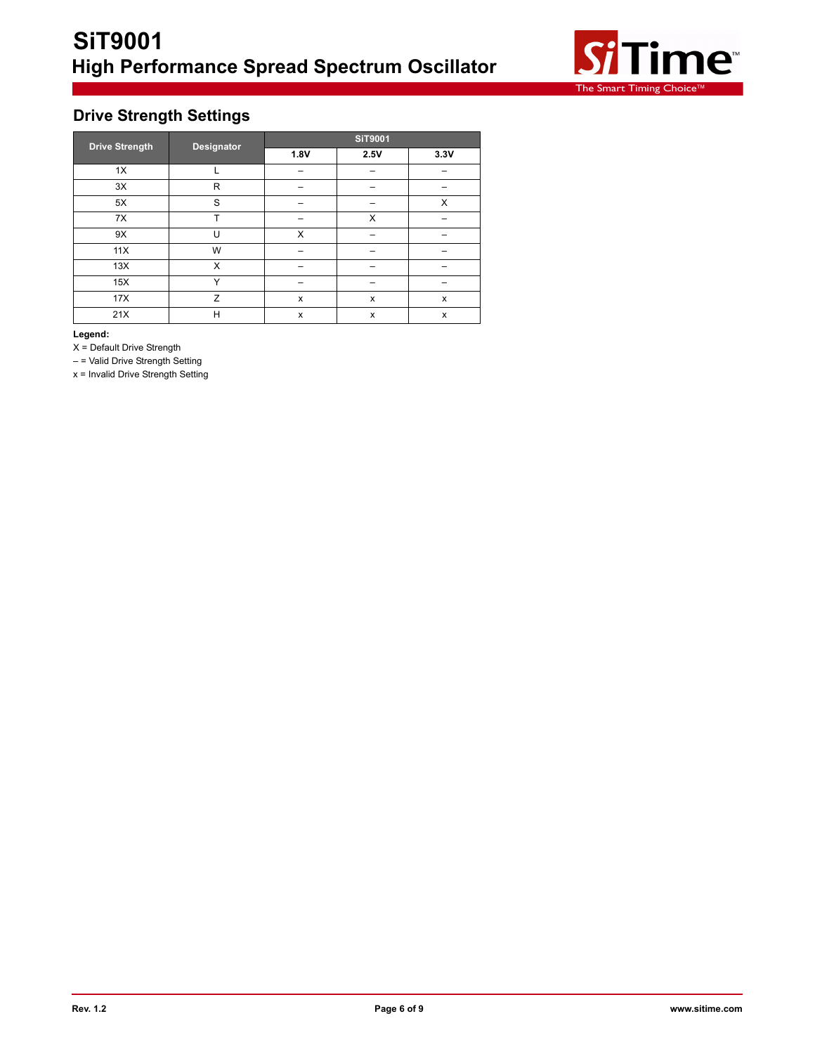

## <span id="page-5-0"></span>**Drive Strength Settings**

| <b>Drive Strength</b> | Designator | <b>SiT9001</b> |      |      |  |
|-----------------------|------------|----------------|------|------|--|
|                       |            | 1.8V           | 2.5V | 3.3V |  |
| 1X                    |            |                |      |      |  |
| 3X                    | R          |                |      |      |  |
| 5X                    | S          |                |      | X    |  |
| 7X                    | T          |                | X    |      |  |
| 9X                    | U          | X              |      |      |  |
| 11X                   | W          |                |      |      |  |
| 13X                   | X          |                |      |      |  |
| 15X                   | Υ          |                |      |      |  |
| 17X                   | Z          | X              | x    | x    |  |
| 21X                   | H          | X              | X    | x    |  |

**Legend:**

X = Default Drive Strength

– = Valid Drive Strength Setting

x = Invalid Drive Strength Setting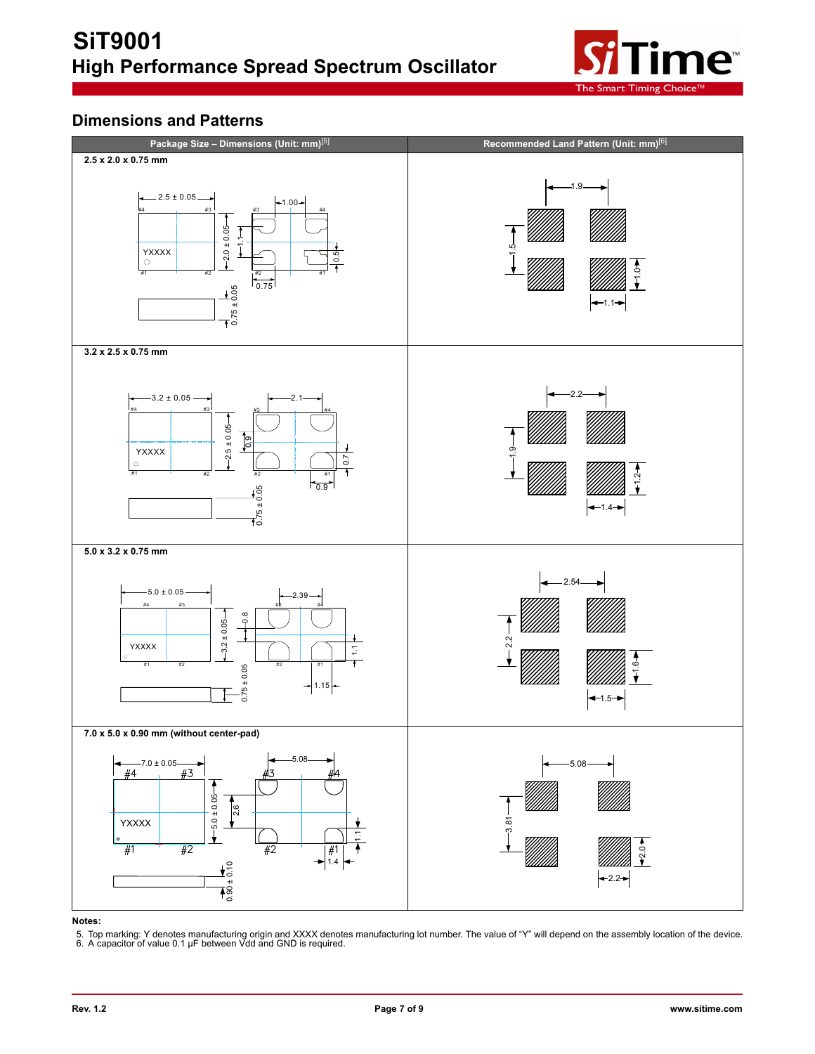

## **Dimensions and Patterns**



#### **Notes:**

5. Top marking: Y denotes manufacturing origin and XXXX denotes manufacturing lot number. The value of "Y" will depend on the assembly location of the device. 6. A capacitor of value 0.1 µF between Vdd and GND is required.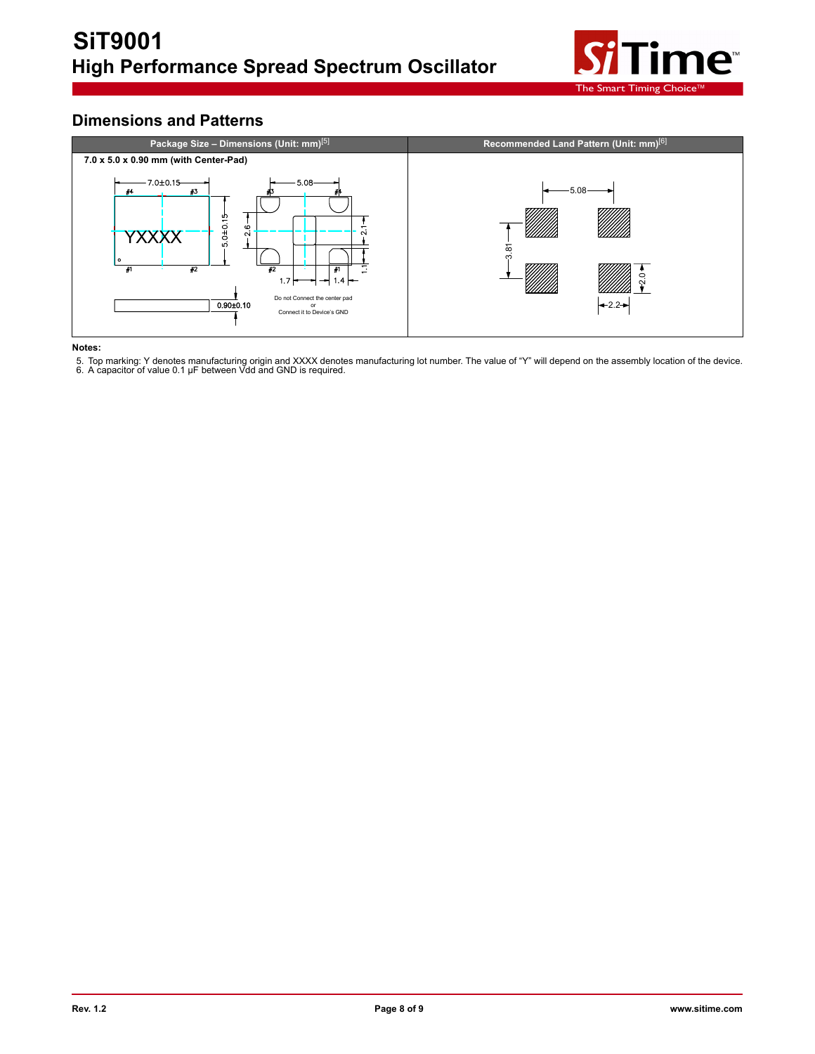

## **Dimensions and Patterns**



#### **Notes:**

5. Top marking: Y denotes manufacturing origin and XXXX denotes manufacturing lot number. The value of "Y" will depend on the assembly location of the device. 6. A capacitor of value 0.1 µF between Vdd and GND is required.